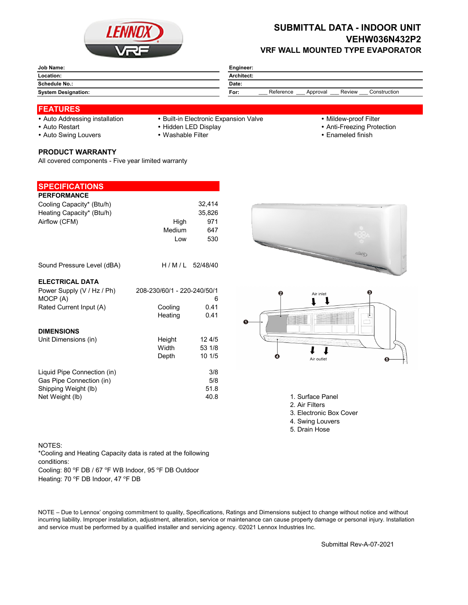

# **SUBMITTAL DATA - INDOOR UNIT VEHW036N432P2 VRF WALL MOUNTED TYPE EVAPORATOR**

| Job Name:                  | Engineer:                                               |  |  |  |
|----------------------------|---------------------------------------------------------|--|--|--|
| Location:                  | Architect:                                              |  |  |  |
| Schedule No.:              | Date:                                                   |  |  |  |
| <b>System Designation:</b> | Reference<br>Review<br>Construction<br>For:<br>Approval |  |  |  |

### **FEATURES**

- 
- Auto Addressing installation Built-in Electronic Expansion Valve Mildew-proof Filter
- 
- 
- Auto Restart **Auto Restart Hidden LED Display <b>Auto Restart Auto Restart Anti-Freezing Protection**
- Auto Swing Louvers Washable Filter **Enameled finish** Enameled finish

## **PRODUCT WARRANTY**

All covered components - Five year limited warranty

| <b>SPECIFICATIONS</b>                                                                              |                                                   |                                       |
|----------------------------------------------------------------------------------------------------|---------------------------------------------------|---------------------------------------|
| <b>PERFORMANCE</b><br>Cooling Capacity* (Btu/h)<br>Heating Capacity* (Btu/h)<br>Airflow (CFM)      | High<br>Medium<br>Low                             | 32,414<br>35,826<br>971<br>647<br>530 |
| Sound Pressure Level (dBA)                                                                         | H/M/L 52/48/40                                    |                                       |
| <b>ELECTRICAL DATA</b><br>Power Supply (V / Hz / Ph)<br>MOCP (A)<br>Rated Current Input (A)        | 208-230/60/1 - 220-240/50/1<br>Cooling<br>Heating | 6<br>0.41<br>0.41                     |
| <b>DIMENSIONS</b><br>Unit Dimensions (in)                                                          | Height<br>Width<br>Depth                          | 124/5<br>53 1/8<br>10 1/5             |
| Liquid Pipe Connection (in)<br>Gas Pipe Connection (in)<br>Shipping Weight (lb)<br>Net Weight (lb) |                                                   | 3/8<br>5/8<br>51.8<br>40.8            |

- 
- 





1. Surface Panel

- 2. Air Filters
- 3. Electronic Box Cover
- 4. Swing Louvers
- 5. Drain Hose

### NOTES:

\*Cooling and Heating Capacity data is rated at the following conditions:

Cooling: 80 °F DB / 67 °F WB Indoor, 95 °F DB Outdoor

Heating: 70 °F DB Indoor, 47 °F DB

NOTE – Due to Lennox' ongoing commitment to quality, Specifications, Ratings and Dimensions subject to change without notice and without incurring liability. Improper installation, adjustment, alteration, service or maintenance can cause property damage or personal injury. Installation and service must be performed by a qualified installer and servicing agency. ©2021 Lennox Industries Inc.